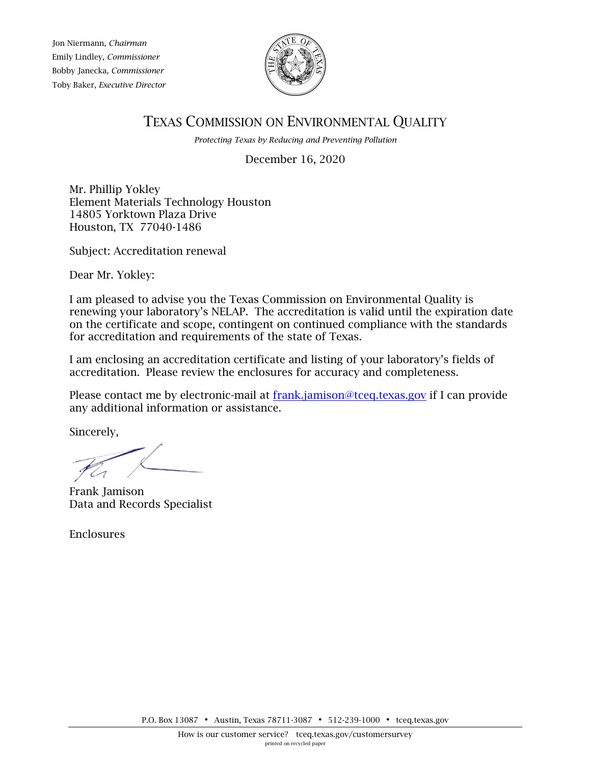Jon Niermann, *Chairman* Emily Lindley*, Commissioner* Bobby Janecka, *Commissioner* Toby Baker, *Executive Director*



## TEXAS COMMISSION ON ENVIRONMENTAL QUALITY

*Protecting Texas by Reducing and Preventing Pollution*

December 16, 2020

Mr. Phillip Yokley Element Materials Technology Houston 14805 Yorktown Plaza Drive Houston, TX 77040-1486

Subject: Accreditation renewal

Dear Mr. Yokley:

I am pleased to advise you the Texas Commission on Environmental Quality is renewing your laboratory's NELAP. The accreditation is valid until the expiration date on the certificate and scope, contingent on continued compliance with the standards for accreditation and requirements of the state of Texas.

I am enclosing an accreditation certificate and listing of your laboratory's fields of accreditation. Please review the enclosures for accuracy and completeness.

Please contact me by electronic-mail at [frank.jamison@tceq.texas.gov](mailto:frank.jamison@tceq.texas.gov) if I can provide any additional information or assistance.

Sincerely,

Frank Jamison Data and Records Specialist

Enclosures

P.O. Box 13087 • Austin, Texas 78711-3087 • 512-239-1000 • [tceq.texas.gov](http://www.tceq.state.tx.us/)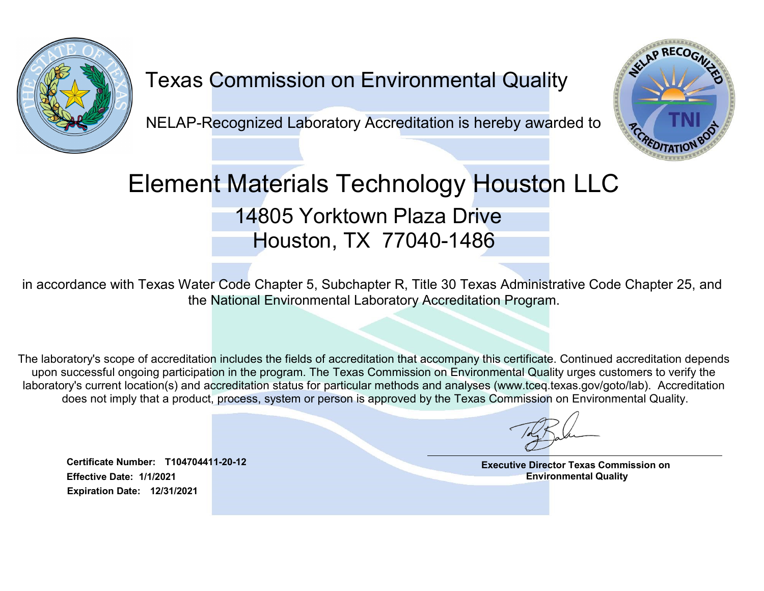

## Texas Commission on Environmental Quality

NELAP-Recognized Laboratory Accreditation is hereby awarded to



## Element Materials Technology Houston LLC 14805 Yorktown Plaza Drive Houston, TX 77040-1486

in accordance with Texas Water Code Chapter 5, Subchapter R, Title 30 Texas Administrative Code Chapter 25, and the National Environmental Laboratory Accreditation Program.

The laboratory's scope of accreditation includes the fields of accreditation that accompany this certificate. Continued accreditation depends upon successful ongoing participation in the program. The Texas Commission on Environmental Quality urges customers to verify the laboratory's current location(s) and accreditation status for particular methods and analyses (www.tceq.texas.gov/goto/lab). Accreditation does not imply that a product, process, system or person is approved by the Texas Commission on Environmental Quality.

Executive Director Texas Commission on Environmental Quality

Effective Date: 1/1/2021 Certificate Number: T104704411-20-12 Expiration Date: 12/31/2021